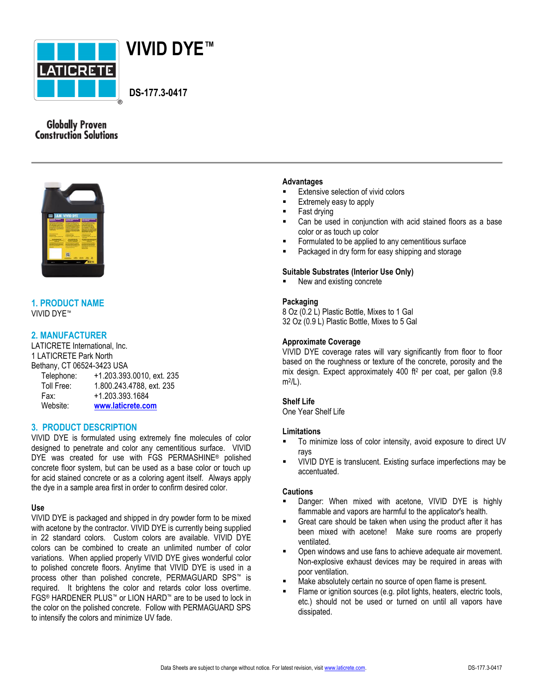



 **DS-177.3-0417**

# **Globally Proven Construction Solutions**



## **1. PRODUCT NAME** VIVID DYE™

## **2. MANUFACTURER**

LATICRETE International, Inc. 1 LATICRETE Park North Bethany, CT 06524-3423 USA

| Telephone: | +1.203.393.0010, ext. 235 |
|------------|---------------------------|
| Toll Free: | 1.800.243.4788, ext. 235  |
| Fax:       | +1.203.393.1684           |
| Website:   | www.laticrete.com         |

## **3. PRODUCT DESCRIPTION**

VIVID DYE is formulated using extremely fine molecules of color designed to penetrate and color any cementitious surface. VIVID DYE was created for use with FGS PERMASHINE® polished concrete floor system, but can be used as a base color or touch up for acid stained concrete or as a coloring agent itself. Always apply the dye in a sample area first in order to confirm desired color.

## **Use**

VIVID DYE is packaged and shipped in dry powder form to be mixed with acetone by the contractor. VIVID DYE is currently being supplied in 22 standard colors. Custom colors are available. VIVID DYE colors can be combined to create an unlimited number of color variations. When applied properly VIVID DYE gives wonderful color to polished concrete floors. Anytime that VIVID DYE is used in a process other than polished concrete, PERMAGUARD SPS™ is required. It brightens the color and retards color loss overtime. FGS® HARDENER PLUS™ or LION HARD™ are to be used to lock in the color on the polished concrete. Follow with PERMAGUARD SPS to intensify the colors and minimize UV fade.

### **Advantages**

- Extensive selection of vivid colors
- Extremely easy to apply
- Fast drying
- Can be used in conjunction with acid stained floors as a base color or as touch up color
- **Formulated to be applied to any cementitious surface**
- Packaged in dry form for easy shipping and storage

### **Suitable Substrates (Interior Use Only)**

New and existing concrete

### **Packaging**

8 Oz (0.2 L) Plastic Bottle, Mixes to 1 Gal 32 Oz (0.9 L) Plastic Bottle, Mixes to 5 Gal

### **Approximate Coverage**

VIVID DYE coverage rates will vary significantly from floor to floor based on the roughness or texture of the concrete, porosity and the mix design. Expect approximately 400 ft<sup>2</sup> per coat, per gallon (9.8 m2 /L).

### **Shelf Life**

One Year Shelf Life

## **Limitations**

- To minimize loss of color intensity, avoid exposure to direct UV rays
- VIVID DYE is translucent. Existing surface imperfections may be accentuated.

### **Cautions**

- Danger: When mixed with acetone, VIVID DYE is highly flammable and vapors are harmful to the applicator's health.
- Great care should be taken when using the product after it has been mixed with acetone! Make sure rooms are properly ventilated.
- Open windows and use fans to achieve adequate air movement. Non-explosive exhaust devices may be required in areas with poor ventilation.
- Make absolutely certain no source of open flame is present.
- Flame or ignition sources (e.g. pilot lights, heaters, electric tools, etc.) should not be used or turned on until all vapors have dissipated.